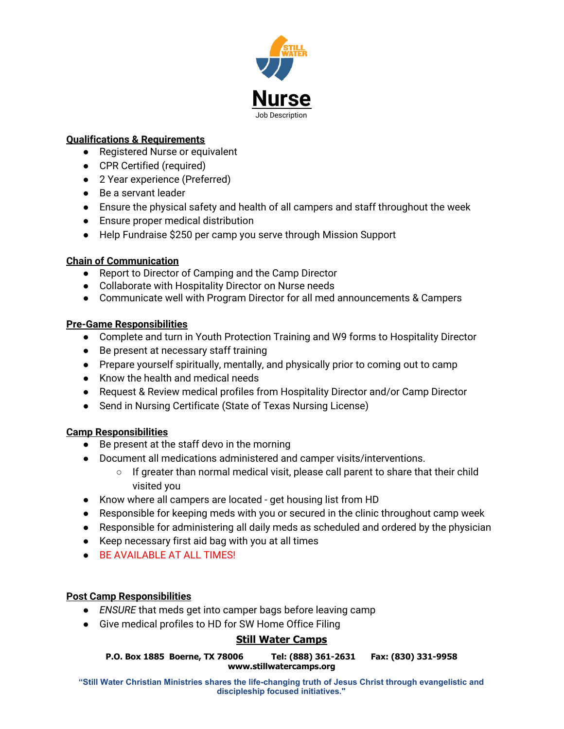

### **Qualifications & Requirements**

- Registered Nurse or equivalent
- CPR Certified (required)
- 2 Year experience (Preferred)
- Be a servant leader
- Ensure the physical safety and health of all campers and staff throughout the week
- Ensure proper medical distribution
- Help Fundraise \$250 per camp you serve through Mission Support

# **Chain of Communication**

- Report to Director of Camping and the Camp Director
- Collaborate with Hospitality Director on Nurse needs
- Communicate well with Program Director for all med announcements & Campers

### **Pre-Game Responsibilities**

- Complete and turn in Youth Protection Training and W9 forms to Hospitality Director
- Be present at necessary staff training
- Prepare yourself spiritually, mentally, and physically prior to coming out to camp
- Know the health and medical needs
- Request & Review medical profiles from Hospitality Director and/or Camp Director
- Send in Nursing Certificate (State of Texas Nursing License)

# **Camp Responsibilities**

- Be present at the staff devo in the morning
- Document all medications administered and camper visits/interventions.
	- $\circ$  If greater than normal medical visit, please call parent to share that their child visited you
- Know where all campers are located get housing list from HD
- Responsible for keeping meds with you or secured in the clinic throughout camp week
- Responsible for administering all daily meds as scheduled and ordered by the physician
- Keep necessary first aid bag with you at all times
- BE AVAILABLE AT ALL TIMES!

# **Post Camp Responsibilities**

- *ENSURE* that meds get into camper bags before leaving camp
- Give medical profiles to HD for SW Home Office Filing

# **Still Water Camps**

**P.O. Box 1885 Boerne, TX 78006 Tel: (888) 361-2631 Fax: (830) 331-9958 www.stillwatercamps.org**

**"Still Water Christian Ministries shares the life-changing truth of Jesus Christ through evangelistic and discipleship focused initiatives."**